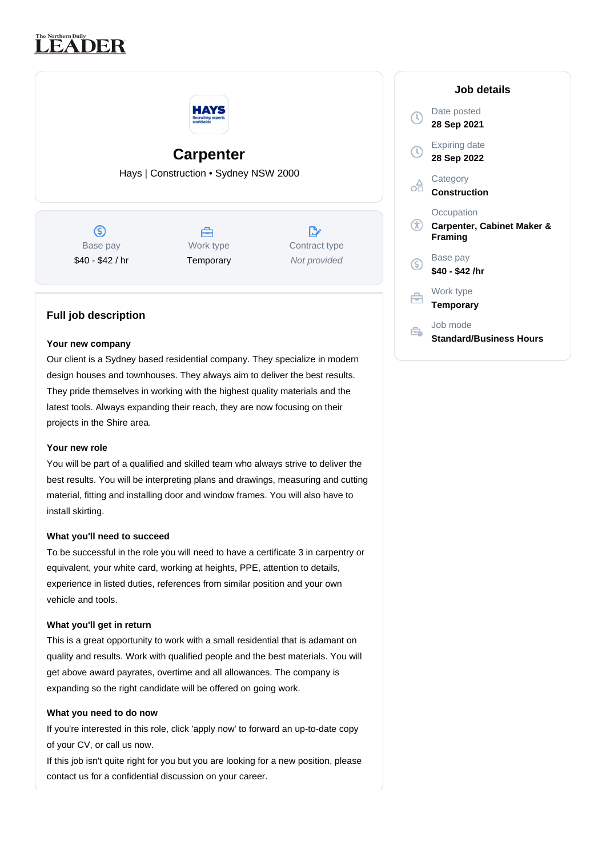# **LEADER**



## **Carpenter**

Hays | Construction • Sydney NSW 2000

 $\circledS$ Base pay \$40 - \$42 / hr



 $\mathbb{R}^{\circ}$ Contract type Not provided

### **Full job description**

#### **Your new company**

Our client is a Sydney based residential company. They specialize in modern design houses and townhouses. They always aim to deliver the best results. They pride themselves in working with the highest quality materials and the latest tools. Always expanding their reach, they are now focusing on their projects in the Shire area.

#### **Your new role**

You will be part of a qualified and skilled team who always strive to deliver the best results. You will be interpreting plans and drawings, measuring and cutting material, fitting and installing door and window frames. You will also have to install skirting.

#### **What you'll need to succeed**

To be successful in the role you will need to have a certificate 3 in carpentry or equivalent, your white card, working at heights, PPE, attention to details, experience in listed duties, references from similar position and your own vehicle and tools.

#### **What you'll get in return**

This is a great opportunity to work with a small residential that is adamant on quality and results. Work with qualified people and the best materials. You will get above award payrates, overtime and all allowances. The company is expanding so the right candidate will be offered on going work.

#### **What you need to do now**

If you're interested in this role, click 'apply now' to forward an up-to-date copy of your CV, or call us now.

If this job isn't quite right for you but you are looking for a new position, please contact us for a confidential discussion on your career.

|    | Job details                                                           |
|----|-----------------------------------------------------------------------|
|    | Date posted<br>28 Sep 2021                                            |
|    | <b>Expiring date</b><br>28 Sep 2022                                   |
|    | Category<br>Construction                                              |
| Œ  | Occupation<br><b>Carpenter, Cabinet Maker &amp;</b><br><b>Framing</b> |
| .S | Base pay<br>\$40 - \$42 /hr                                           |
|    | Work type<br><b>Temporary</b>                                         |
|    | Job mode<br><b>Standard/Business Hours</b>                            |